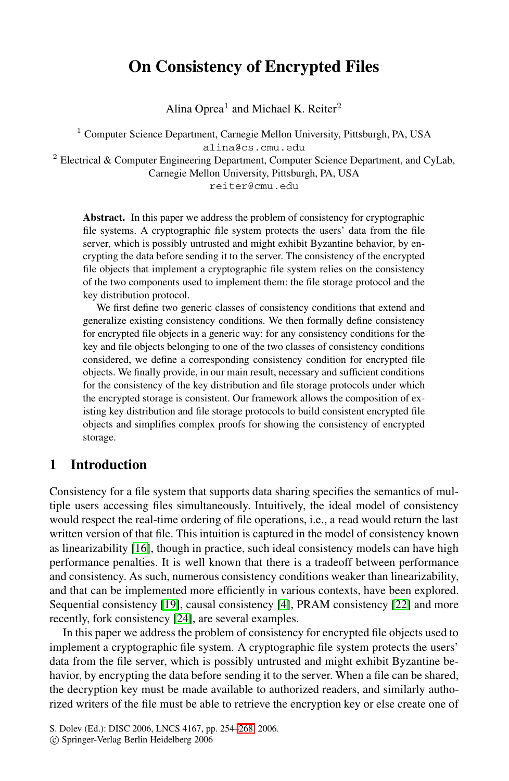# **On Consistency of Encrypted Files**

Alina Oprea<sup>1</sup> and Michael K. Reiter<sup>2</sup>

<sup>1</sup> Computer Science Department, Carnegie Mellon University, Pittsburgh, PA, USA

alina@cs.cmu.edu

<sup>2</sup> Electrical & Computer Engineering Department, Computer Science Department, and CyLab,

Carnegie Mellon University, Pittsburgh, PA, USA

reiter@cmu.edu

**Abstract.** In this paper we address the problem of consistency for cryptographic file systems. A cryptographic file system protects the users' data from the file server, which is possibly untrusted and might exhibit Byzantine behavior, by encrypting the data before sending it to the server. The consistency of the encrypted file objects that implement a cryptographic file system relies on the consistency of the two components used to implement them: the file storage protocol and the key distribution protocol.

We first define two generic classes of consistency conditions that extend and generalize existing consistency conditions. We then formally define consistency for encrypted file objects in a generic way: for any consistency conditions for the key and file objects belonging to one of the two classes of consistency conditions considered, we define a corresponding consistency condition for encrypted file objects. We finally provide, in our main result, necessary and sufficient conditions for the consistency of the key distribution and file storage protocols under which the encrypted storage is consistent. Our framework allows the composition of existing key distribution and file storage protocols to build consistent encrypted file objects and simplifies complex proofs for showing the consistency of encrypted storage.

## **1 Introduction**

Consistency for a file system that supports data sharing specifies the semantics of multiple users accessing files simultaneously. Intuitively, the ideal model of consistency would respect the real-time ordering of file operations, i.e., a read would return the last written version of that file. This intuition is captured in the model of consistency known as linearizability [\[16\]](#page-14-0), though in practice, such ideal consistency models can have high performance penalties. It is well known that there is a tradeoff between performance and consistency. As such, numerous consistency conditions weaker than linearizability, and that can be implemented more efficiently in various contexts, have been explored. Sequential consistency [\[19\]](#page-14-1), causal consistency [\[4\]](#page-13-0), PRAM consistency [\[22\]](#page-14-2) and more recently, fork consistency [\[24\]](#page-14-3), are several examples.

In this paper we address the problem of consistency for encrypted file objects used to implement a cryptographic file system. A cryptographic file system protects the users' data from the file server, which is possibly untrusted and might exhibit Byzantine behavior, by encrypting the data before sending it to the server. When a file can be shared, the decryption key must be made available to authorized readers, and similarly authorized writers of the file must be able to retrieve the encryption key or else create one of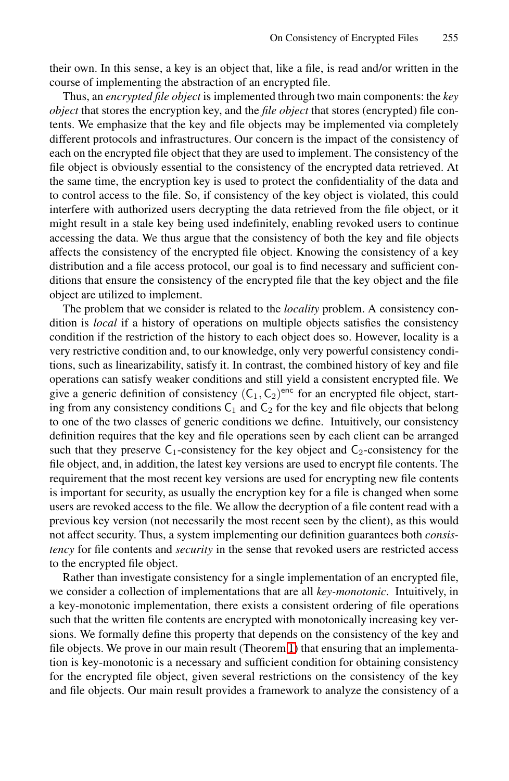their own. In this sense, a key is an object that, like a file, is read and/or written in the course of implementing the abstraction of an encrypted file.

Thus, an *encrypted file object* is implemented through two main components: the *key object* that stores the encryption key, and the *file object* that stores (encrypted) file contents. We emphasize that the key and file objects may be implemented via completely different protocols and infrastructures. Our concern is the impact of the consistency of each on the encrypted file object that they are used to implement. The consistency of the file object is obviously essential to the consistency of the encrypted data retrieved. At the same time, the encryption key is used to protect the confidentiality of the data and to control access to the file. So, if consistency of the key object is violated, this could interfere with authorized users decrypting the data retrieved from the file object, or it might result in a stale key being used indefinitely, enabling revoked users to continue accessing the data. We thus argue that the consistency of both the key and file objects affects the consistency of the encrypted file object. Knowing the consistency of a key distribution and a file access protocol, our goal is to find necessary and sufficient conditions that ensure the consistency of the encrypted file that the key object and the file object are utilized to implement.

The problem that we consider is related to the *locality* problem. A consistency condition is *local* if a history of operations on multiple objects satisfies the consistency condition if the restriction of the history to each object does so. However, locality is a very restrictive condition and, to our knowledge, only very powerful consistency conditions, such as linearizability, satisfy it. In contrast, the combined history of key and file operations can satisfy weaker conditions and still yield a consistent encrypted file. We give a generic definition of consistency  $(C_1, C_2)$ <sup>enc</sup> for an encrypted file object, starting from any consistency conditions  $C_1$  and  $C_2$  for the key and file objects that belong to one of the two classes of generic conditions we define. Intuitively, our consistency definition requires that the key and file operations seen by each client can be arranged such that they preserve  $C_1$ -consistency for the key object and  $C_2$ -consistency for the file object, and, in addition, the latest key versions are used to encrypt file contents. The requirement that the most recent key versions are used for encrypting new file contents is important for security, as usually the encryption key for a file is changed when some users are revoked access to the file. We allow the decryption of a file content read with a previous key version (not necessarily the most recent seen by the client), as this would not affect security. Thus, a system implementing our definition guarantees both *consistency* for file contents and *security* in the sense that revoked users are restricted access to the encrypted file object.

Rather than investigate consistency for a single implementation of an encrypted file, we consider a collection of implementations that are all *key-monotonic*. Intuitively, in a key-monotonic implementation, there exists a consistent ordering of file operations such that the written file contents are encrypted with monotonically increasing key versions. We formally define this property that depends on the consistency of the key and file objects. We prove in our main result (Theorem [1\)](#page-12-0) that ensuring that an implementation is key-monotonic is a necessary and sufficient condition for obtaining consistency for the encrypted file object, given several restrictions on the consistency of the key and file objects. Our main result provides a framework to analyze the consistency of a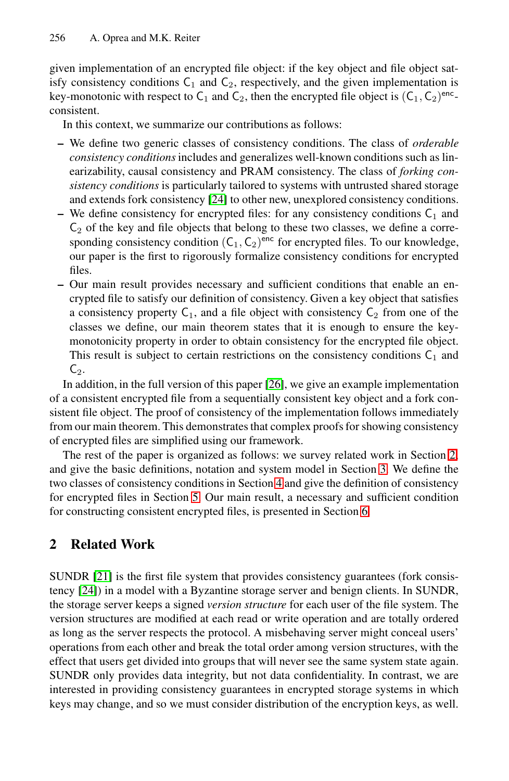given implementation of an encrypted file object: if the key object and file object satisfy consistency conditions  $C_1$  and  $C_2$ , respectively, and the given implementation is key-monotonic with respect to  $C_1$  and  $C_2$ , then the encrypted file object is  $(C_1, C_2)$ <sup>enc</sup>consistent.

In this context, we summarize our contributions as follows:

- **–** We define two generic classes of consistency conditions. The class of *orderable consistency conditions*includes and generalizes well-known conditions such as linearizability, causal consistency and PRAM consistency. The class of *forking consistency conditions* is particularly tailored to systems with untrusted shared storage and extends fork consistency [\[24\]](#page-14-3) to other new, unexplored consistency conditions.
- $-$  We define consistency for encrypted files: for any consistency conditions  $C_1$  and  $C<sub>2</sub>$  of the key and file objects that belong to these two classes, we define a corresponding consistency condition  $(C_1, C_2)$ <sup>enc</sup> for encrypted files. To our knowledge, our paper is the first to rigorously formalize consistency conditions for encrypted files.
- **–** Our main result provides necessary and sufficient conditions that enable an encrypted file to satisfy our definition of consistency. Given a key object that satisfies a consistency property  $C_1$ , and a file object with consistency  $C_2$  from one of the classes we define, our main theorem states that it is enough to ensure the keymonotonicity property in order to obtain consistency for the encrypted file object. This result is subject to certain restrictions on the consistency conditions  $C_1$  and  $C<sub>2</sub>$ .

In addition, in the full version of this paper [\[26\]](#page-14-4), we give an example implementation of a consistent encrypted file from a sequentially consistent key object and a fork consistent file object. The proof of consistency of the implementation follows immediately from our main theorem. This demonstrates that complex proofs for showing consistency of encrypted files are simplified using our framework.

The rest of the paper is organized as follows: we survey related work in Section [2,](#page-2-0) and give the basic definitions, notation and system model in Section [3.](#page-4-0) We define the two classes of consistency conditions in Section [4](#page-5-0) and give the definition of consistency for encrypted files in Section [5.](#page-7-0) Our main result, a necessary and sufficient condition for constructing consistent encrypted files, is presented in Section [6.](#page-9-0)

## <span id="page-2-0"></span>**2 Related Work**

SUNDR [\[21\]](#page-14-5) is the first file system that provides consistency guarantees (fork consistency [\[24\]](#page-14-3)) in a model with a Byzantine storage server and benign clients. In SUNDR, the storage server keeps a signed *version structure* for each user of the file system. The version structures are modified at each read or write operation and are totally ordered as long as the server respects the protocol. A misbehaving server might conceal users' operations from each other and break the total order among version structures, with the effect that users get divided into groups that will never see the same system state again. SUNDR only provides data integrity, but not data confidentiality. In contrast, we are interested in providing consistency guarantees in encrypted storage systems in which keys may change, and so we must consider distribution of the encryption keys, as well.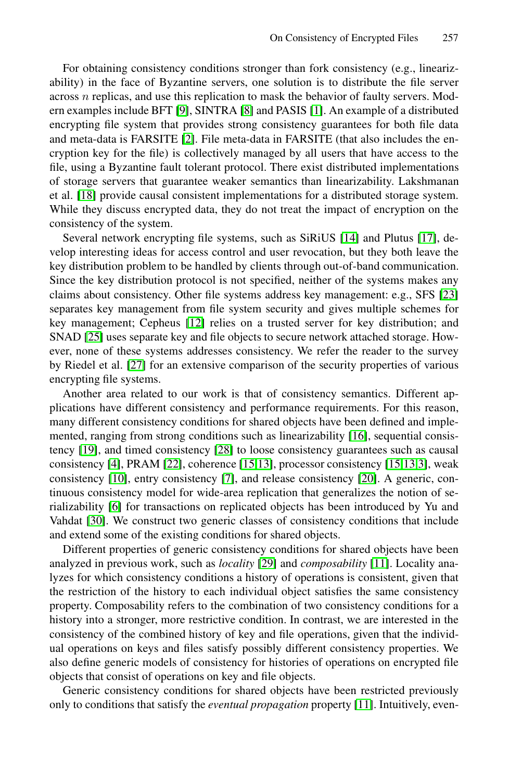For obtaining consistency conditions stronger than fork consistency (e.g., linearizability) in the face of Byzantine servers, one solution is to distribute the file server across *n* replicas, and use this replication to mask the behavior of faulty servers. Modern examples include BFT [\[9\]](#page-13-2), SINTRA [\[8\]](#page-13-3) and PASIS [\[1\]](#page-13-4). An example of a distributed encrypting file system that provides strong consistency guarantees for both file data and meta-data is FARSITE [\[2\]](#page-13-5). File meta-data in FARSITE (that also includes the encryption key for the file) is collectively managed by all users that have access to the file, using a Byzantine fault tolerant protocol. There exist distributed implementations of storage servers that guarantee weaker semantics than linearizability. Lakshmanan et al. [\[18\]](#page-14-6) provide causal consistent implementations for a distributed storage system. While they discuss encrypted data, they do not treat the impact of encryption on the consistency of the system.

Several network encrypting file systems, such as SiRiUS [\[14\]](#page-14-7) and Plutus [\[17\]](#page-14-8), develop interesting ideas for access control and user revocation, but they both leave the key distribution problem to be handled by clients through out-of-band communication. Since the key distribution protocol is not specified, neither of the systems makes any claims about consistency. Other file systems address key management: e.g., SFS [\[23\]](#page-14-9) separates key management from file system security and gives multiple schemes for key management; Cepheus [\[12\]](#page-14-10) relies on a trusted server for key distribution; and SNAD [\[25\]](#page-14-11) uses separate key and file objects to secure network attached storage. However, none of these systems addresses consistency. We refer the reader to the survey by Riedel et al. [\[27\]](#page-14-12) for an extensive comparison of the security properties of various encrypting file systems.

Another area related to our work is that of consistency semantics. Different applications have different consistency and performance requirements. For this reason, many different consistency conditions for shared objects have been defined and imple-mented, ranging from strong conditions such as linearizability [\[16\]](#page-14-0), sequential consistency [\[19\]](#page-14-1), and timed consistency [\[28\]](#page-14-13) to loose consistency guarantees such as causal consistency [\[4\]](#page-13-0), PRAM [\[22\]](#page-14-2), coherence [\[15](#page-14-14)[,13\]](#page-14-15), processor consistency [\[15](#page-14-14)[,13](#page-14-15)[,3\]](#page-13-6), weak consistency [\[10\]](#page-13-7), entry consistency [\[7\]](#page-13-8), and release consistency [\[20\]](#page-14-16). A generic, continuous consistency model for wide-area replication that generalizes the notion of serializability [\[6\]](#page-13-9) for transactions on replicated objects has been introduced by Yu and Vahdat [\[30\]](#page-14-17). We construct two generic classes of consistency conditions that include and extend some of the existing conditions for shared objects.

Different properties of generic consistency conditions for shared objects have been analyzed in previous work, such as *locality* [\[29\]](#page-14-18) and *composability* [\[11\]](#page-14-19). Locality analyzes for which consistency conditions a history of operations is consistent, given that the restriction of the history to each individual object satisfies the same consistency property. Composability refers to the combination of two consistency conditions for a history into a stronger, more restrictive condition. In contrast, we are interested in the consistency of the combined history of key and file operations, given that the individual operations on keys and files satisfy possibly different consistency properties. We also define generic models of consistency for histories of operations on encrypted file objects that consist of operations on key and file objects.

Generic consistency conditions for shared objects have been restricted previously only to conditions that satisfy the *eventual propagation* property [\[11\]](#page-14-19). Intuitively, even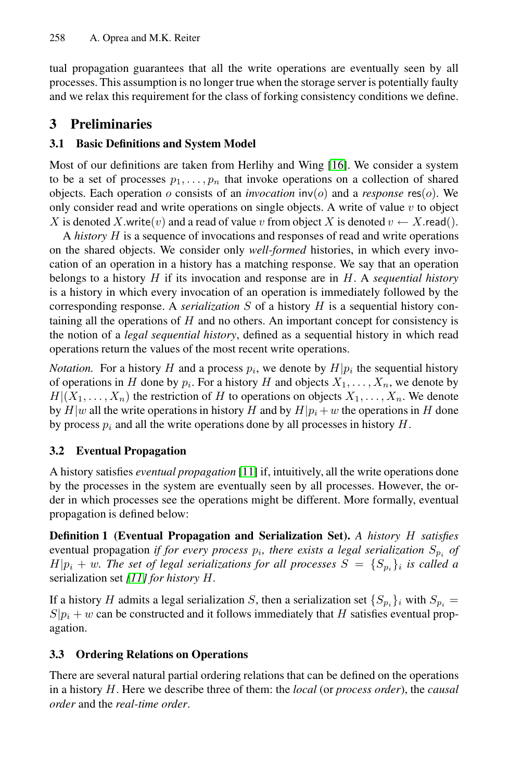tual propagation guarantees that all the write operations are eventually seen by all processes. This assumption is no longer true when the storage server is potentially faulty and we relax this requirement for the class of forking consistency conditions we define.

## <span id="page-4-0"></span>**3 Preliminaries**

## **3.1 Basic Definitions and System Model**

Most of our definitions are taken from Herlihy and Wing [\[16\]](#page-14-0). We consider a system to be a set of processes  $p_1, \ldots, p_n$  that invoke operations on a collection of shared objects. Each operation *o* consists of an *invocation* inv(*o*) and a *response* res(*o*). We only consider read and write operations on single objects. A write of value *v* to object *X* is denoted *X*.write $(v)$  and a read of value *v* from object *X* is denoted  $v \leftarrow X$ .read().

A *history H* is a sequence of invocations and responses of read and write operations on the shared objects. We consider only *well-formed* histories, in which every invocation of an operation in a history has a matching response. We say that an operation belongs to a history *H* if its invocation and response are in *H*. A *sequential history* is a history in which every invocation of an operation is immediately followed by the corresponding response. A *serialization S* of a history *H* is a sequential history containing all the operations of *H* and no others. An important concept for consistency is the notion of a *legal sequential history*, defined as a sequential history in which read operations return the values of the most recent write operations.

*Notation.* For a history *H* and a process  $p_i$ , we denote by  $H|p_i$  the sequential history of operations in *H* done by  $p_i$ . For a history *H* and objects  $X_1, \ldots, X_n$ , we denote by  $H|(X_1,\ldots,X_n)$  the restriction of *H* to operations on objects  $X_1,\ldots,X_n$ . We denote by  $H|w$  all the write operations in history *H* and by  $H|p_i+w$  the operations in *H* done by process  $p_i$  and all the write operations done by all processes in history  $H$ .

## **3.2 Eventual Propagation**

A history satisfies *eventual propagation* [\[11\]](#page-14-19) if, intuitively, all the write operations done by the processes in the system are eventually seen by all processes. However, the order in which processes see the operations might be different. More formally, eventual propagation is defined below:

**Definition 1 (Eventual Propagation and Serialization Set).** *A history H satisfies* eventual propagation *if for every process*  $p_i$ *, there exists a legal serialization*  $S_{p_i}$  *of*  $H|p_i + w$ *. The set of legal serializations for all processes*  $S = \{S_{p_i}\}_i$  *is called a* serialization set *[\[11\]](#page-14-19) for history H.*

If a history *H* admits a legal serialization *S*, then a serialization set  $\{S_{p_i}\}\$ i with  $S_{p_i}$  =  $S|p_i + w$  can be constructed and it follows immediately that *H* satisfies eventual propagation.

### **3.3 Ordering Relations on Operations**

There are several natural partial ordering relations that can be defined on the operations in a history *H*. Here we describe three of them: the *local* (or *process order*), the *causal order* and the *real-time order*.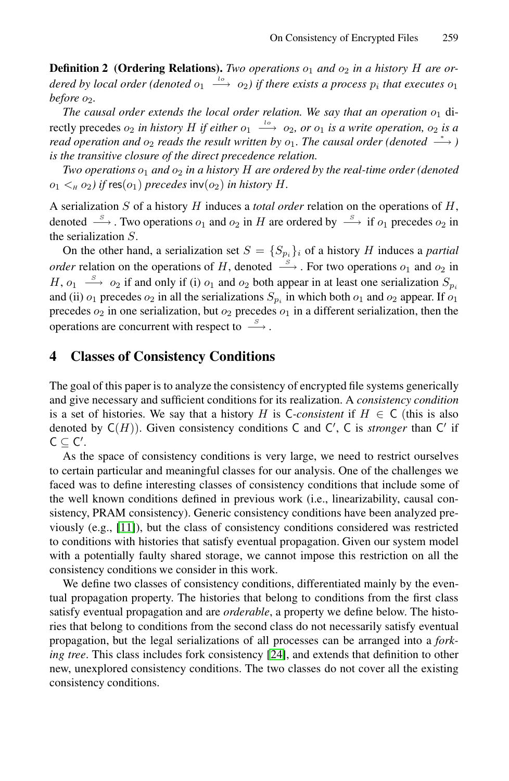**Definition 2 (Ordering Relations).** *Two operations*  $o_1$  *and*  $o_2$  *in a history H are ordered by local order (denoted*  $o_1 \stackrel{lo}{\longrightarrow} o_2$ ) if there exists a process  $p_i$  that executes  $o_1$ *before*  $o_2$ *.* 

*The causal order extends the local order relation. We say that an operation*  $o_1$  directly precedes  $o_2$  *in history H if either*  $o_1 \xrightarrow{lo} o_2$ *, or*  $o_1$  *is a write operation,*  $o_2$  *is a read operation and*  $o_2$  *reads the result written by*  $o_1$ *. The causal order (denoted*  $\longrightarrow$  ) *is the transitive closure of the direct precedence relation.*

*Two operations o*<sup>1</sup> *and o*<sup>2</sup> *in a history H are ordered by the real-time order (denoted*  $o_1$   $\lt$ <sub>*H*</sub>  $o_2$ ) *if* res( $o_1$ ) *precedes* inv( $o_2$ ) *in history H*.

A serialization *S* of a history *H* induces a *total order* relation on the operations of *H*, denoted  $\stackrel{S}{\longrightarrow}$ . Two operations  $o_1$  and  $o_2$  in *H* are ordered by  $\stackrel{S}{\longrightarrow}$  if  $o_1$  precedes  $o_2$  in the serialization *S*.

On the other hand, a serialization set  $S = \{S_{p_i}\}\$ i of a history *H* induces a *partial order* relation on the operations of *H*, denoted  $\stackrel{S}{\longrightarrow}$ . For two operations  $o_1$  and  $o_2$  in *H*,  $o_1 \stackrel{s}{\longrightarrow} o_2$  if and only if (i)  $o_1$  and  $o_2$  both appear in at least one serialization  $S_{p_i}$ and (ii)  $o_1$  precedes  $o_2$  in all the serializations  $S_p$  in which both  $o_1$  and  $o_2$  appear. If  $o_1$ precedes  $o_2$  in one serialization, but  $o_2$  precedes  $o_1$  in a different serialization, then the operations are concurrent with respect to  $\stackrel{s}{\longrightarrow}$ .

#### <span id="page-5-0"></span>**4 Classes of Consistency Conditions**

The goal of this paper is to analyze the consistency of encrypted file systems generically and give necessary and sufficient conditions for its realization. A *consistency condition* is a set of histories. We say that a history *H* is C-consistent if  $H \in \mathbb{C}$  (this is also denoted by  $C(H)$ ). Given consistency conditions C and C', C is *stronger* than C' if  $C \subseteq C'.$ 

As the space of consistency conditions is very large, we need to restrict ourselves to certain particular and meaningful classes for our analysis. One of the challenges we faced was to define interesting classes of consistency conditions that include some of the well known conditions defined in previous work (i.e., linearizability, causal consistency, PRAM consistency). Generic consistency conditions have been analyzed previously (e.g., [\[11\]](#page-14-19)), but the class of consistency conditions considered was restricted to conditions with histories that satisfy eventual propagation. Given our system model with a potentially faulty shared storage, we cannot impose this restriction on all the consistency conditions we consider in this work.

We define two classes of consistency conditions, differentiated mainly by the eventual propagation property. The histories that belong to conditions from the first class satisfy eventual propagation and are *orderable*, a property we define below. The histories that belong to conditions from the second class do not necessarily satisfy eventual propagation, but the legal serializations of all processes can be arranged into a *forking tree*. This class includes fork consistency [\[24\]](#page-14-3), and extends that definition to other new, unexplored consistency conditions. The two classes do not cover all the existing consistency conditions.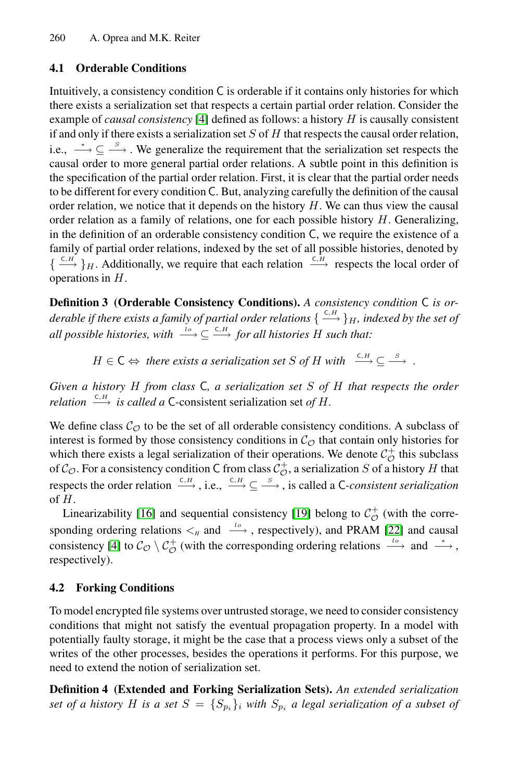### **4.1 Orderable Conditions**

Intuitively, a consistency condition C is orderable if it contains only histories for which there exists a serialization set that respects a certain partial order relation. Consider the example of *causal consistency* [\[4\]](#page-13-0) defined as follows: a history *H* is causally consistent if and only if there exists a serialization set *S* of *H* that respects the causal order relation, i.e.,  $\stackrel{*}{\longrightarrow} \subseteq \stackrel{s}{\longrightarrow}$ . We generalize the requirement that the serialization set respects the causal order to more general partial order relations. A subtle point in this definition is the specification of the partial order relation. First, it is clear that the partial order needs to be different for every condition C. But, analyzing carefully the definition of the causal order relation, we notice that it depends on the history *H*. We can thus view the causal order relation as a family of relations, one for each possible history *H*. Generalizing, in the definition of an orderable consistency condition C, we require the existence of a family of partial order relations, indexed by the set of all possible histories, denoted by  $\{\xrightarrow{c,H}\}$  *H*. Additionally, we require that each relation  $\xrightarrow{c,H}$  respects the local order of operations in *H*.

**Definition 3 (Orderable Consistency Conditions).** *A consistency condition* C *is orderable if there exists a family of partial order relations* {  $\stackrel{\mathsf{C},H}{\longrightarrow}$  }  $_H$ *, indexed by the set of*  $all possible$  histories, with  $\xrightarrow{l_0} \subseteq \xrightarrow{C,H}$  for all histories H such that:

 $H \in \mathsf{C} \Leftrightarrow$  *there exists a serialization set S of H* with  $\stackrel{c, H}{\longrightarrow} \subseteq \stackrel{S}{\longrightarrow}$ .

*Given a history H from class* C*, a serialization set S of H that respects the order relation*  $\xrightarrow{C,H}$  *is called a* C-consistent serialization set *of H*.

We define class  $\mathcal{C}_{\mathcal{O}}$  to be the set of all orderable consistency conditions. A subclass of interest is formed by those consistency conditions in  $\mathcal{C}_{\mathcal{O}}$  that contain only histories for which there exists a legal serialization of their operations. We denote  $C_{\mathcal{O}}^+$  this subclass of  $\mathcal{C}_{\mathcal{O}}$ . For a consistency condition C from class  $\mathcal{C}_{\mathcal{O}}^+$ , a serialization *S* of a history *H* that respects the order relation  $\xrightarrow{C,H}$ , i.e.,  $\xrightarrow{C,H} \subseteq \xrightarrow{S}$ , is called a C-*consistent serialization* of *H*.

Linearizability [\[16\]](#page-14-0) and sequential consistency [\[19\]](#page-14-1) belong to  $C^+_{\mathcal{O}}$  (with the corresponding ordering relations  $\lt_{H}$  and  $\xrightarrow{lo}$ , respectively), and PRAM [\[22\]](#page-14-2) and causal consistency [\[4\]](#page-13-0) to  $\mathcal{C}_{\mathcal{O}} \setminus \mathcal{C}_{\mathcal{O}}^+$  (with the corresponding ordering relations  $\xrightarrow{l_{\mathcal{O}}}$  and  $\xrightarrow{\ast}$ , respectively).

#### **4.2 Forking Conditions**

To model encrypted file systems over untrusted storage, we need to consider consistency conditions that might not satisfy the eventual propagation property. In a model with potentially faulty storage, it might be the case that a process views only a subset of the writes of the other processes, besides the operations it performs. For this purpose, we need to extend the notion of serialization set.

**Definition 4 (Extended and Forking Serialization Sets).** *An extended serialization set of a history H is a set*  $S = \{S_{p_i}\}_i$  *with*  $S_{p_i}$  *a legal serialization of a subset of*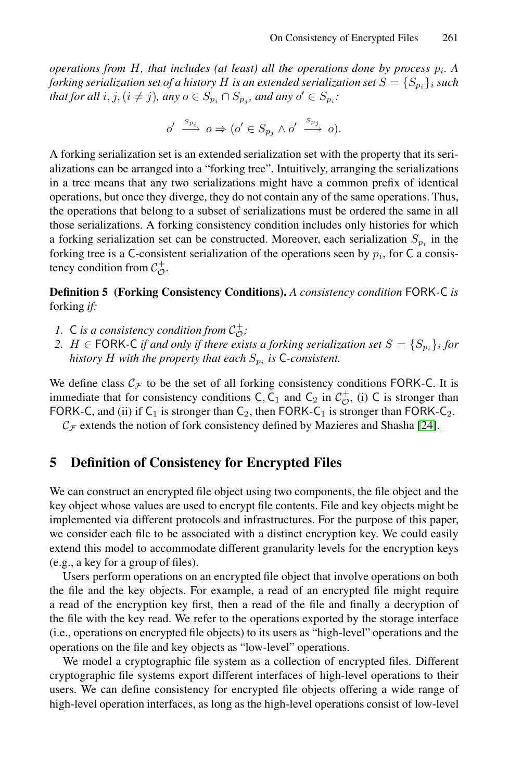*operations from H, that includes (at least) all the operations done by process pi. A forking serialization set of a history H is an extended serialization set*  $S = \{S_{p_i}\}_i$  *such that for all*  $i, j, (i \neq j)$ *, any*  $o \in S_{p_i} \cap S_{p_j}$ *, and any*  $o' \in S_{p_i}$ *:* 

$$
o' \xrightarrow{S_{p_i}} o \Rightarrow (o' \in S_{p_j} \wedge o' \xrightarrow{S_{p_j}} o).
$$

A forking serialization set is an extended serialization set with the property that its serializations can be arranged into a "forking tree". Intuitively, arranging the serializations in a tree means that any two serializations might have a common prefix of identical operations, but once they diverge, they do not contain any of the same operations. Thus, the operations that belong to a subset of serializations must be ordered the same in all those serializations. A forking consistency condition includes only histories for which a forking serialization set can be constructed. Moreover, each serialization  $S_{p_i}$  in the forking tree is a C-consistent serialization of the operations seen by  $p_i$ , for C a consistency condition from  $C_{\mathcal{O}}^+$ .

**Definition 5 (Forking Consistency Conditions).** *A consistency condition* FORK*-*C *is* forking *if:*

- *1.* C is a consistency condition from  $C_{\mathcal{O}}^+$ ;
- *2. H* ∈ FORK-C *if and only if there exists a forking serialization set*  $S = \{S_{p_i}\}_i$  *for history H* with the property that each  $S_{p_i}$  is C-consistent.

We define class  $C_{\mathcal{F}}$  to be the set of all forking consistency conditions FORK-C. It is immediate that for consistency conditions  $C$ ,  $C_1$  and  $C_2$  in  $C^+_{\mathcal{O}}$ , (i) C is stronger than FORK-C, and (ii) if  $C_1$  is stronger than  $C_2$ , then FORK-C<sub>1</sub> is stronger than FORK-C<sub>2</sub>.

 $C_{\mathcal{F}}$  extends the notion of fork consistency defined by Mazieres and Shasha [\[24\]](#page-14-3).

#### <span id="page-7-0"></span>**5 Definition of Consistency for Encrypted Files**

We can construct an encrypted file object using two components, the file object and the key object whose values are used to encrypt file contents. File and key objects might be implemented via different protocols and infrastructures. For the purpose of this paper, we consider each file to be associated with a distinct encryption key. We could easily extend this model to accommodate different granularity levels for the encryption keys (e.g., a key for a group of files).

Users perform operations on an encrypted file object that involve operations on both the file and the key objects. For example, a read of an encrypted file might require a read of the encryption key first, then a read of the file and finally a decryption of the file with the key read. We refer to the operations exported by the storage interface (i.e., operations on encrypted file objects) to its users as "high-level" operations and the operations on the file and key objects as "low-level" operations.

We model a cryptographic file system as a collection of encrypted files. Different cryptographic file systems export different interfaces of high-level operations to their users. We can define consistency for encrypted file objects offering a wide range of high-level operation interfaces, as long as the high-level operations consist of low-level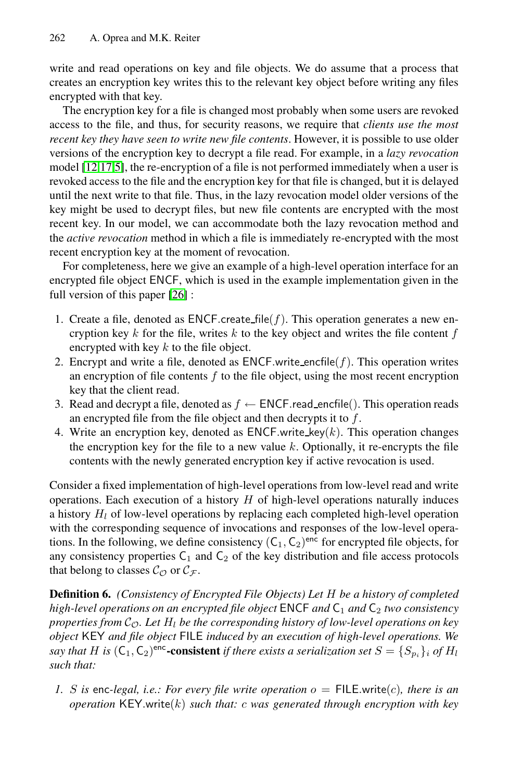write and read operations on key and file objects. We do assume that a process that creates an encryption key writes this to the relevant key object before writing any files encrypted with that key.

The encryption key for a file is changed most probably when some users are revoked access to the file, and thus, for security reasons, we require that *clients use the most recent key they have seen to write new file contents*. However, it is possible to use older versions of the encryption key to decrypt a file read. For example, in a *lazy revocation* model [\[12,](#page-14-10)[17,](#page-14-8)[5\]](#page-13-10), the re-encryption of a file is not performed immediately when a user is revoked access to the file and the encryption key for that file is changed, but it is delayed until the next write to that file. Thus, in the lazy revocation model older versions of the key might be used to decrypt files, but new file contents are encrypted with the most recent key. In our model, we can accommodate both the lazy revocation method and the *active revocation* method in which a file is immediately re-encrypted with the most recent encryption key at the moment of revocation.

For completeness, here we give an example of a high-level operation interface for an encrypted file object ENCF, which is used in the example implementation given in the full version of this paper [\[26\]](#page-14-4) :

- 1. Create a file, denoted as  $ENCF$ .create\_file $(f)$ . This operation generates a new encryption key  $k$  for the file, writes  $k$  to the key object and writes the file content  $f$ encrypted with key *k* to the file object.
- 2. Encrypt and write a file, denoted as  $ENCF.write\_encfile(f)$ . This operation writes an encryption of file contents *f* to the file object, using the most recent encryption key that the client read.
- 3. Read and decrypt a file, denoted as  $f \leftarrow \textsf{ENCF.read\_encfile}()$ . This operation reads an encrypted file from the file object and then decrypts it to *f*.
- 4. Write an encryption key, denoted as ENCF*.*write key(*k*). This operation changes the encryption key for the file to a new value *k*. Optionally, it re-encrypts the file contents with the newly generated encryption key if active revocation is used.

Consider a fixed implementation of high-level operations from low-level read and write operations. Each execution of a history *H* of high-level operations naturally induces a history  $H_l$  of low-level operations by replacing each completed high-level operation with the corresponding sequence of invocations and responses of the low-level operations. In the following, we define consistency  $(C_1, C_2)$ <sup>enc</sup> for encrypted file objects, for any consistency properties  $C_1$  and  $C_2$  of the key distribution and file access protocols that belong to classes  $\mathcal{C}_{\mathcal{O}}$  or  $\mathcal{C}_{\mathcal{F}}$ .

<span id="page-8-0"></span>**Definition 6.** *(Consistency of Encrypted File Objects) Let H be a history of completed high-level operations on an encrypted file object* ENCF *and*  $C_1$  *and*  $C_2$  *two consistency properties from*  $C_{\mathcal{O}}$ *. Let*  $H_l$  *be the corresponding history of low-level operations on key object* KEY *and file object* FILE *induced by an execution of high-level operations. We say that H is*  $(C_1, C_2)$ <sup>enc</sup>-consistent *if there exists a serialization set*  $S = \{S_n\}$ *i of*  $H_l$ *such that:*

*1. S* is enc-legal, i.e.: For every file write operation  $o =$  FILE.write(*c*), there is an *operation* KEY*.*write(*k*) *such that: c was generated through encryption with key*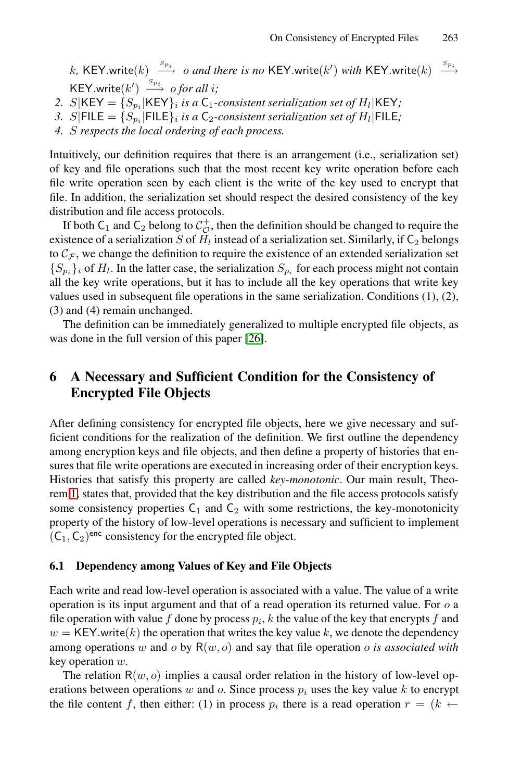$k$ , KEY*.write* $(k) \stackrel{S_{p_i}}{\longrightarrow} o$  *and there is no* KEY*.write* $(k')$  *with* KEY*.write* $(k) \stackrel{S_{p_i}}{\longrightarrow} o$  $\mathsf{KEY}$ *.write* $(k') \xrightarrow{S_{p_i}}$  *o for all i*;

- *2. S*|KEY = { $S_{p_i}$ |KEY}*i is a* C<sub>1</sub>-consistent serialization set of  $H_l$ |KEY;
- *3. S*|FILE =  $\{S_{p_i}$ |FILE}*i is a* C<sub>2</sub>-consistent serialization set of H<sub>l</sub>|FILE;
- *4. S respects the local ordering of each process.*

Intuitively, our definition requires that there is an arrangement (i.e., serialization set) of key and file operations such that the most recent key write operation before each file write operation seen by each client is the write of the key used to encrypt that file. In addition, the serialization set should respect the desired consistency of the key distribution and file access protocols.

If both  $C_1$  and  $C_2$  belong to  $C_1^+$ , then the definition should be changed to require the existence of a serialization *S* of  $H_l$  instead of a serialization set. Similarly, if  $C_2$  belongs to  $\mathcal{C}_{\mathcal{F}}$ , we change the definition to require the existence of an extended serialization set  ${S_{p_i}}_i$  *i* of  $H_l$ . In the latter case, the serialization  $S_{p_i}$  for each process might not contain all the key write operations, but it has to include all the key operations that write key values used in subsequent file operations in the same serialization. Conditions  $(1)$ ,  $(2)$ , (3) and (4) remain unchanged.

The definition can be immediately generalized to multiple encrypted file objects, as was done in the full version of this paper [\[26\]](#page-14-4).

## <span id="page-9-0"></span>**6 A Necessary and Sufficient Condition for the Consistency of Encrypted File Objects**

After defining consistency for encrypted file objects, here we give necessary and sufficient conditions for the realization of the definition. We first outline the dependency among encryption keys and file objects, and then define a property of histories that ensures that file write operations are executed in increasing order of their encryption keys. Histories that satisfy this property are called *key-monotonic*. Our main result, Theorem [1,](#page-12-0) states that, provided that the key distribution and the file access protocols satisfy some consistency properties  $C_1$  and  $C_2$  with some restrictions, the key-monotonicity property of the history of low-level operations is necessary and sufficient to implement  $(C_1, C_2)$ <sup>enc</sup> consistency for the encrypted file object.

#### **6.1 Dependency among Values of Key and File Objects**

Each write and read low-level operation is associated with a value. The value of a write operation is its input argument and that of a read operation its returned value. For *o* a file operation with value f done by process  $p_i$ ,  $k$  the value of the key that encrypts f and  $w = K EY$ .write $(k)$  the operation that writes the key value k, we denote the dependency among operations *w* and *o* by R(*w, o*) and say that file operation *o is associated with* key operation *w*.

The relation  $R(w, o)$  implies a causal order relation in the history of low-level operations between operations *w* and *o*. Since process  $p_i$  uses the key value *k* to encrypt the file content f, then either: (1) in process  $p_i$  there is a read operation  $r = (k \leftarrow$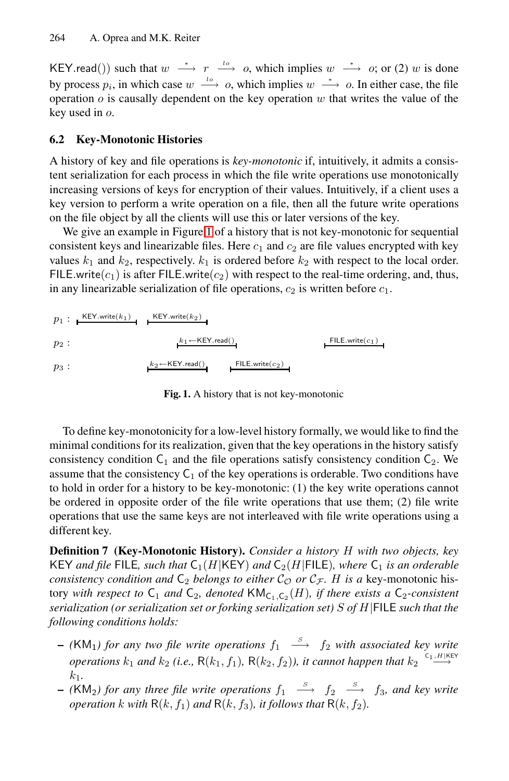KEY.read()) such that  $w \stackrel{*}{\longrightarrow} r \stackrel{\iota_o}{\longrightarrow} o$ , which implies  $w \stackrel{*}{\longrightarrow} o$ ; or (2) *w* is done by process  $p_i$ , in which case  $w \stackrel{\iota}{\longrightarrow} o$ , which implies  $w \stackrel{*}{\longrightarrow} o$ . In either case, the file operation *o* is causally dependent on the key operation *w* that writes the value of the key used in *o*.

#### **6.2 Key-Monotonic Histories**

A history of key and file operations is *key-monotonic* if, intuitively, it admits a consistent serialization for each process in which the file write operations use monotonically increasing versions of keys for encryption of their values. Intuitively, if a client uses a key version to perform a write operation on a file, then all the future write operations on the file object by all the clients will use this or later versions of the key.

We give an example in Figure [1](#page-10-0) of a history that is not key-monotonic for sequential consistent keys and linearizable files. Here  $c_1$  and  $c_2$  are file values encrypted with key values  $k_1$  and  $k_2$ , respectively.  $k_1$  is ordered before  $k_2$  with respect to the local order. FILE.write $(c_1)$  is after FILE.write $(c_2)$  with respect to the real-time ordering, and, thus, in any linearizable serialization of file operations,  $c_2$  is written before  $c_1$ .

$$
p_1: \underbrace{\textsf{KEY.write}(k_1)}_{\textit{PEX} \text{.write}(k_1)} + \underbrace{\textsf{KEY.write}(k_2)}_{\textit{E1} \leftarrow \textsf{KEY.read}()} + \underbrace{\textsf{FILE.write}(c_1)}_{\textit{FILE.write}(c_1)}
$$

 $p_3$  :  $k_2 \leftarrow$  **KEY**.read() FILE<sub></sub>.write $(c_2)$ 

<span id="page-10-0"></span>**Fig. 1.** A history that is not key-monotonic

To define key-monotonicity for a low-level history formally, we would like to find the minimal conditions for its realization, given that the key operations in the history satisfy consistency condition  $C_1$  and the file operations satisfy consistency condition  $C_2$ . We assume that the consistency  $C_1$  of the key operations is orderable. Two conditions have to hold in order for a history to be key-monotonic: (1) the key write operations cannot be ordered in opposite order of the file write operations that use them; (2) file write operations that use the same keys are not interleaved with file write operations using a different key.

<span id="page-10-1"></span>**Definition 7 (Key-Monotonic History).** *Consider a history H with two objects, key* KEY *and file* FILE, such that  $C_1(H|KEY)$  and  $C_2(H|FILE)$ , where  $C_1$  is an orderable *consistency condition and*  $C_2$  *belongs to either*  $C_{\mathcal{O}}$  *or*  $C_{\mathcal{F}}$ *. H is a* key-monotonic history with respect to  $C_1$  and  $C_2$ , denoted  $KM_{C_1,C_2}(H)$ , if there exists a  $C_2$ -consistent *serialization (or serialization set or forking serialization set) S of H*|FILE *such that the following conditions holds:*

- **–** *(*KM1*) for any two file write operations f*<sup>1</sup> *S* −→ *f*<sup>2</sup> *with associated key write operations*  $k_1$  *and*  $k_2$  (*i.e.,* R( $k_1$ ,  $f_1$ ), R( $k_2$ ,  $f_2$ )), *it cannot happen that*  $k_2 \stackrel{c_1,H|K EY}{\longrightarrow}$ *k*1*.*
- **−** (KM<sub>2</sub>) for any three file write operations  $f_1$   $\stackrel{S}{\longrightarrow}$   $f_2$   $\stackrel{S}{\longrightarrow}$   $f_3$ , and key write *operation k with*  $R(k, f_1)$  *and*  $R(k, f_3)$ *, it follows that*  $R(k, f_2)$ *.*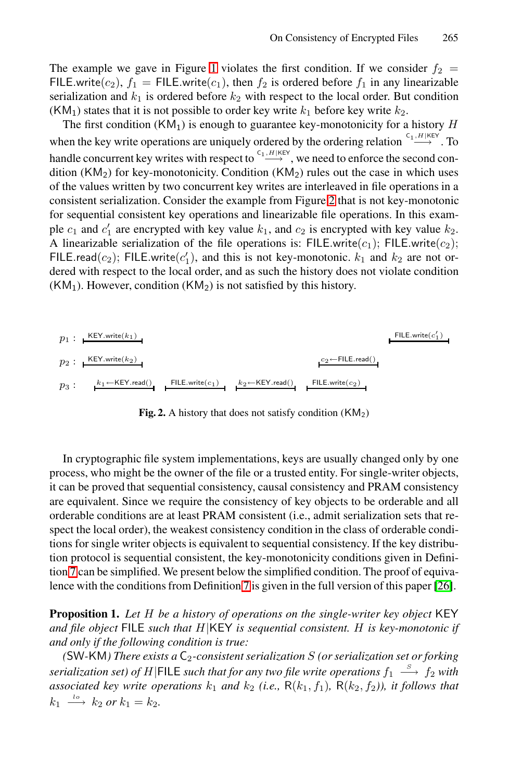The example we gave in Figure [1](#page-10-0) violates the first condition. If we consider  $f_2$  = FILE.write $(c_2)$ ,  $f_1$  = FILE.write $(c_1)$ , then  $f_2$  is ordered before  $f_1$  in any linearizable serialization and  $k_1$  is ordered before  $k_2$  with respect to the local order. But condition  $(KM<sub>1</sub>)$  states that it is not possible to order key write  $k<sub>1</sub>$  before key write  $k<sub>2</sub>$ .

The first condition  $(KM_1)$  is enough to guarantee key-monotonicity for a history  $H$ when the key write operations are uniquely ordered by the ordering relation <sup>C<sub>1</sub>, H|KEY</sup>. To handle concurrent key writes with respect to  $\stackrel{c_1,H|K EY}{\longrightarrow}$ , we need to enforce the second condition ( $KM_2$ ) for key-monotonicity. Condition ( $KM_2$ ) rules out the case in which uses of the values written by two concurrent key writes are interleaved in file operations in a consistent serialization. Consider the example from Figure [2](#page-11-0) that is not key-monotonic for sequential consistent key operations and linearizable file operations. In this example  $c_1$  and  $c'_1$  are encrypted with key value  $k_1$ , and  $c_2$  is encrypted with key value  $k_2$ . A linearizable serialization of the file operations is: FILE.write $(c_1)$ ; FILE.write $(c_2)$ ; FILE.read( $c_2$ ); FILE.write( $c'_1$ ), and this is not key-monotonic.  $k_1$  and  $k_2$  are not ordered with respect to the local order, and as such the history does not violate condition  $(KM_1)$ . However, condition  $(KM_2)$  is not satisfied by this history.



**Fig. 2.** A history that does not satisfy condition  $(KM_2)$ 

<span id="page-11-0"></span>In cryptographic file system implementations, keys are usually changed only by one process, who might be the owner of the file or a trusted entity. For single-writer objects, it can be proved that sequential consistency, causal consistency and PRAM consistency are equivalent. Since we require the consistency of key objects to be orderable and all orderable conditions are at least PRAM consistent (i.e., admit serialization sets that respect the local order), the weakest consistency condition in the class of orderable conditions for single writer objects is equivalent to sequential consistency. If the key distribution protocol is sequential consistent, the key-monotonicity conditions given in Definition [7](#page-10-1) can be simplified. We present below the simplified condition. The proof of equivalence with the conditions from Definition [7](#page-10-1) is given in the full version of this paper [\[26\]](#page-14-4).

**Proposition 1.** *Let H be a history of operations on the single-writer key object* KEY *and file object* FILE *such that H*|KEY *is sequential consistent. H is key-monotonic if and only if the following condition is true:*

*(SW-KM) There exists a C<sub>2</sub>-consistent serialization S (or serialization set or forking* serialization set) of H|FILE such that for any two file write operations  $f_1 \stackrel{s}{\longrightarrow} f_2$  with *associated key write operations*  $k_1$  *and*  $k_2$  *(i.e.,*  $R(k_1, f_1)$ *,*  $R(k_2, f_2)$ *), it follows that*  $k_1 \stackrel{\iota}{\longrightarrow} k_2 \text{ or } k_1 = k_2.$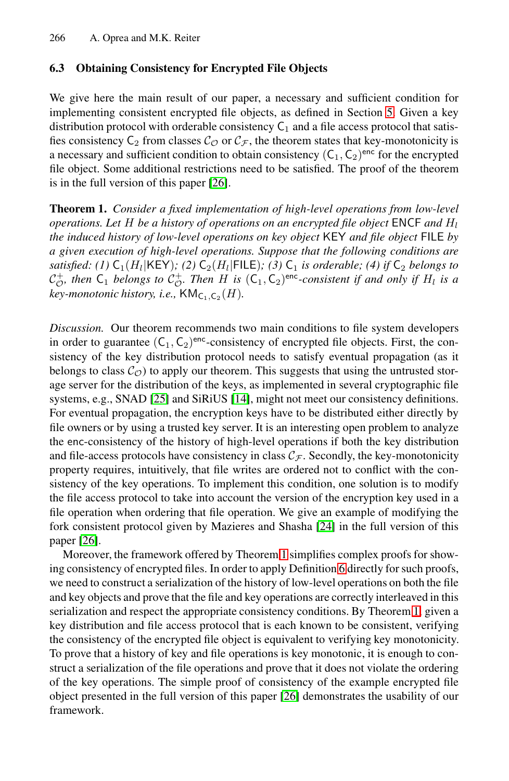### **6.3 Obtaining Consistency for Encrypted File Objects**

We give here the main result of our paper, a necessary and sufficient condition for implementing consistent encrypted file objects, as defined in Section [5.](#page-7-0) Given a key distribution protocol with orderable consistency  $C_1$  and a file access protocol that satisfies consistency  $C_2$  from classes  $C_{\mathcal{O}}$  or  $\mathcal{C}_{\mathcal{F}}$ , the theorem states that key-monotonicity is a necessary and sufficient condition to obtain consistency  $(C_1, C_2)$ <sup>enc</sup> for the encrypted file object. Some additional restrictions need to be satisfied. The proof of the theorem is in the full version of this paper [\[26\]](#page-14-4).

<span id="page-12-0"></span>**Theorem 1.** *Consider a fixed implementation of high-level operations from low-level operations. Let H be a history of operations on an encrypted file object* ENCF *and H<sup>l</sup> the induced history of low-level operations on key object* KEY *and file object* FILE *by a given execution of high-level operations. Suppose that the following conditions are satisfied: (1)*  $C_1(H_l|KEY)$ ; (2)  $C_2(H_l|FILE)$ ; (3)  $C_1$  *is orderable; (4) if*  $C_2$  *belongs to*  $\mathcal{C}^+_0$ , then  $C_1$  belongs to  $\mathcal{C}^+_0$ . Then  $H$  is  $(C_1, C_2)$ <sup>enc</sup>-consistent if and only if  $H_l$  is a  $key$ *-monotonic history, i.e.,*  $\mathsf{KM}_{\mathsf{C}_1,\mathsf{C}_2}(H)$ *.* 

*Discussion.* Our theorem recommends two main conditions to file system developers in order to guarantee  $(C_1, C_2)$ <sup>enc</sup>-consistency of encrypted file objects. First, the consistency of the key distribution protocol needs to satisfy eventual propagation (as it belongs to class  $C_{\mathcal{O}}$ ) to apply our theorem. This suggests that using the untrusted storage server for the distribution of the keys, as implemented in several cryptographic file systems, e.g., SNAD [\[25\]](#page-14-11) and SiRiUS [\[14\]](#page-14-7), might not meet our consistency definitions. For eventual propagation, the encryption keys have to be distributed either directly by file owners or by using a trusted key server. It is an interesting open problem to analyze the enc-consistency of the history of high-level operations if both the key distribution and file-access protocols have consistency in class  $C_{\mathcal{F}}$ . Secondly, the key-monotonicity property requires, intuitively, that file writes are ordered not to conflict with the consistency of the key operations. To implement this condition, one solution is to modify the file access protocol to take into account the version of the encryption key used in a file operation when ordering that file operation. We give an example of modifying the fork consistent protocol given by Mazieres and Shasha [\[24\]](#page-14-3) in the full version of this paper [\[26\]](#page-14-4).

Moreover, the framework offered by Theorem [1](#page-12-0) simplifies complex proofs for showing consistency of encrypted files. In order to apply Definition [6](#page-8-0) directly for such proofs, we need to construct a serialization of the history of low-level operations on both the file and key objects and prove that the file and key operations are correctly interleaved in this serialization and respect the appropriate consistency conditions. By Theorem [1,](#page-12-0) given a key distribution and file access protocol that is each known to be consistent, verifying the consistency of the encrypted file object is equivalent to verifying key monotonicity. To prove that a history of key and file operations is key monotonic, it is enough to construct a serialization of the file operations and prove that it does not violate the ordering of the key operations. The simple proof of consistency of the example encrypted file object presented in the full version of this paper [\[26\]](#page-14-4) demonstrates the usability of our framework.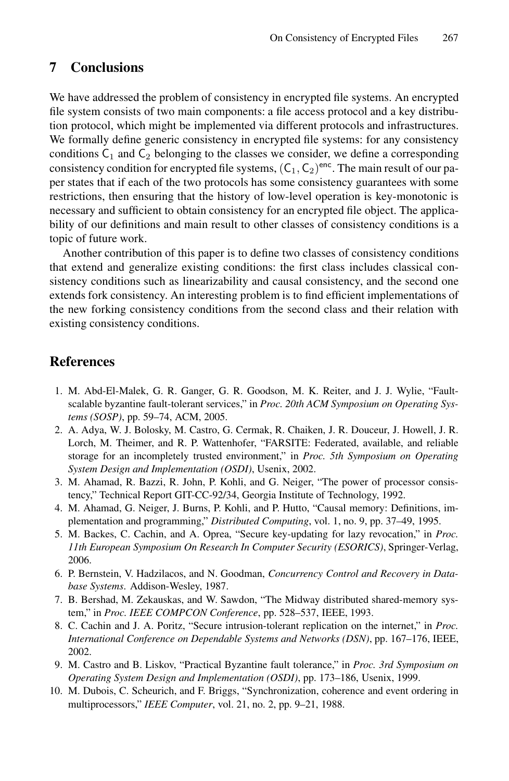## **7 Conclusions**

We have addressed the problem of consistency in encrypted file systems. An encrypted file system consists of two main components: a file access protocol and a key distribution protocol, which might be implemented via different protocols and infrastructures. We formally define generic consistency in encrypted file systems: for any consistency conditions  $C_1$  and  $C_2$  belonging to the classes we consider, we define a corresponding consistency condition for encrypted file systems,  $(C_1, C_2)$ <sup>enc</sup>. The main result of our paper states that if each of the two protocols has some consistency guarantees with some restrictions, then ensuring that the history of low-level operation is key-monotonic is necessary and sufficient to obtain consistency for an encrypted file object. The applicability of our definitions and main result to other classes of consistency conditions is a topic of future work.

Another contribution of this paper is to define two classes of consistency conditions that extend and generalize existing conditions: the first class includes classical consistency conditions such as linearizability and causal consistency, and the second one extends fork consistency. An interesting problem is to find efficient implementations of the new forking consistency conditions from the second class and their relation with existing consistency conditions.

#### <span id="page-13-4"></span><span id="page-13-1"></span>**References**

- 1. M. Abd-El-Malek, G. R. Ganger, G. R. Goodson, M. K. Reiter, and J. J. Wylie, "Faultscalable byzantine fault-tolerant services," in *Proc. 20th ACM Symposium on Operating Systems (SOSP)*, pp. 59–74, ACM, 2005.
- <span id="page-13-5"></span>2. A. Adya, W. J. Bolosky, M. Castro, G. Cermak, R. Chaiken, J. R. Douceur, J. Howell, J. R. Lorch, M. Theimer, and R. P. Wattenhofer, "FARSITE: Federated, available, and reliable storage for an incompletely trusted environment," in *Proc. 5th Symposium on Operating System Design and Implementation (OSDI)*, Usenix, 2002.
- <span id="page-13-6"></span>3. M. Ahamad, R. Bazzi, R. John, P. Kohli, and G. Neiger, "The power of processor consistency," Technical Report GIT-CC-92/34, Georgia Institute of Technology, 1992.
- <span id="page-13-0"></span>4. M. Ahamad, G. Neiger, J. Burns, P. Kohli, and P. Hutto, "Causal memory: Definitions, implementation and programming," *Distributed Computing*, vol. 1, no. 9, pp. 37–49, 1995.
- <span id="page-13-10"></span>5. M. Backes, C. Cachin, and A. Oprea, "Secure key-updating for lazy revocation," in *Proc. 11th European Symposium On Research In Computer Security (ESORICS)*, Springer-Verlag, 2006.
- <span id="page-13-9"></span>6. P. Bernstein, V. Hadzilacos, and N. Goodman, *Concurrency Control and Recovery in Database Systems*. Addison-Wesley, 1987.
- <span id="page-13-8"></span>7. B. Bershad, M. Zekauskas, and W. Sawdon, "The Midway distributed shared-memory system," in *Proc. IEEE COMPCON Conference*, pp. 528–537, IEEE, 1993.
- <span id="page-13-3"></span>8. C. Cachin and J. A. Poritz, "Secure intrusion-tolerant replication on the internet," in *Proc. International Conference on Dependable Systems and Networks (DSN)*, pp. 167–176, IEEE, 2002.
- <span id="page-13-2"></span>9. M. Castro and B. Liskov, "Practical Byzantine fault tolerance," in *Proc. 3rd Symposium on Operating System Design and Implementation (OSDI)*, pp. 173–186, Usenix, 1999.
- <span id="page-13-7"></span>10. M. Dubois, C. Scheurich, and F. Briggs, "Synchronization, coherence and event ordering in multiprocessors," *IEEE Computer*, vol. 21, no. 2, pp. 9–21, 1988.